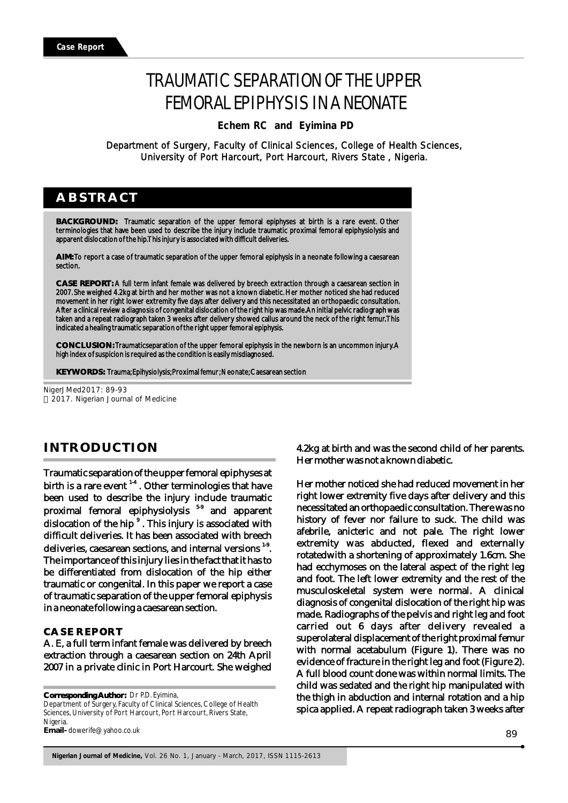# TRAUMATIC SEPARATION OF THE UPPER FEMORAL EPIPHYSIS IN A NEONATE

 **Echem RC and Eyimina PD**

Department of Surgery, Faculty of Clinical Sciences, College of Health Sciences, University of Port Harcourt, Port Harcourt, Rivers State , Nigeria.

# **ABSTRACT**

**BACKGROUND:** Traumatic separation of the upper femoral epiphyses at birth is a rare event. Other terminologies that have been used to describe the injury include traumatic proximal femoral epiphysiolysis and apparent dislocation of the hip. This injury is associated with difficult deliveries.

**AIM:** To report a case of traumatic separation of the upper femoral epiphysis in a neonate following a caesarean section.

**CASE REPORT:** A full term infant female was delivered by breech extraction through a caesarean section in 2007. She weighed 4.2kg at birth and her mother was not a known diabetic. Her mother noticed she had reduced movement in her right lower extremity five days after delivery and this necessitated an orthopaedic consultation. After a clinical review a diagnosis of congenital dislocation of the right hip was made. An initial pelvic radiograph was taken and a repeat radiograph taken 3 weeks after delivery showed callus around the neck of the right femur. This indicated a healing traumatic separation of the right upper femoral epiphysis.

**CONCLUSION:** Traumaticseparation of the upper femoral epiphysis in the newborn is an uncommon injury. A high index of suspicion is required as the condition is easily misdiagnosed.

**KEYWORDS:** Trauma; Epihysiolysis; Proximal femur; Neonate; Caesarean section

NigerJMed2017: 89-93 2017. Nigerian Journal of Medicine

# **INTRODUCTION**

Traumatic separation of the upper femoral epiphyses at birth is a rare event  $14$ . Other terminologies that have been used to describe the injury include traumatic proximal femoral epiphysiolysis <sup>59</sup> and apparent dislocation of the hip<sup>9</sup>. This injury is associated with difficult deliveries. It has been associated with breech deliveries, caesarean sections, and internal versions  $1.9$ . The importance of this injury lies in the fact that it has to be differentiated from dislocation of the hip either traumatic or congenital. In this paper we report a case of traumatic separation of the upper femoral epiphysis in a neonate following a caesarean section.

### **CASE REPORT**

A. E, a full term infant female was delivered by breech extraction through a caesarean section on 24th April 2007 in a private clinic in Port Harcourt. She weighed

**Corresponding Author:**  Dr P.D. Eyimina, Department of Surgery, Faculty of Clinical Sciences, College of Health Sciences, University of Port Harcourt, Port Harcourt, Rivers State, Nigeria. **Email-** dowerife@yahoo.co.uk

4.2kg at birth and was the second child of her parents. Her mother was not a known diabetic.

Her mother noticed she had reduced movement in her right lower extremity five days after delivery and this necessitated an orthopaedic consultation. There was no history of fever nor failure to suck. The child was afebrile, anicteric and not pale. The right lower extremity was abducted, flexed and externally rotatedwith a shortening of approximately 1.6cm. She had ecchymoses on the lateral aspect of the right leg and foot. The left lower extremity and the rest of the musculoskeletal system were normal. A clinical diagnosis of congenital dislocation of the right hip was made. Radiographs of the pelvis and right leg and foot carried out 6 days after delivery revealed a superolateral displacement of the right proximal femur with normal acetabulum (Figure 1). There was no evidence of fracture in the right leg and foot (Figure 2). A full blood count done was within normal limits. The child was sedated and the right hip manipulated with the thigh in abduction and internal rotation and a hip spica applied. A repeat radiograph taken 3 weeks after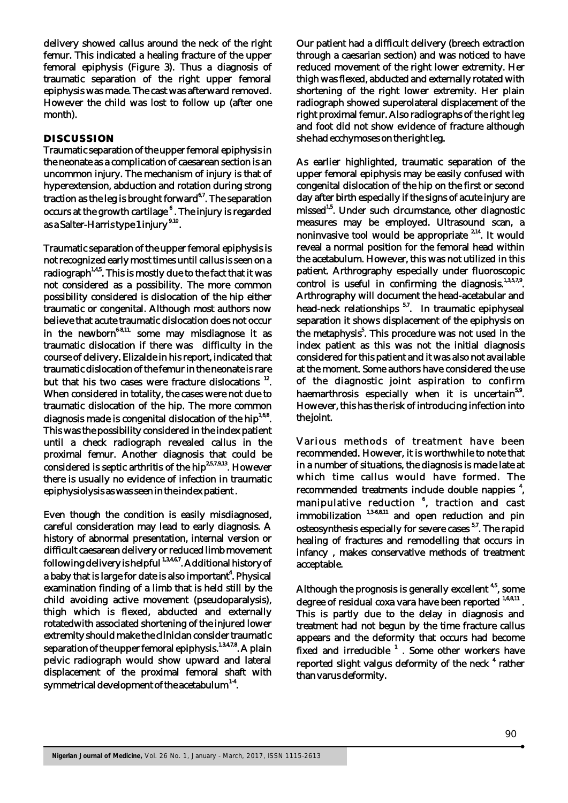delivery showed callus around the neck of the right femur. This indicated a healing fracture of the upper femoral epiphysis (Figure 3). Thus a diagnosis of traumatic separation of the right upper femoral epiphysis was made. The cast was afterward removed. However the child was lost to follow up (after one month).

#### **DISCUSSION**

Traumatic separation of the upper femoral epiphysis in the neonate as a complication of caesarean section is an uncommon injury. The mechanism of injury is that of hyperextension, abduction and rotation during strong traction as the leg is brought forward<sup>6.7</sup>. The separation occurs at the growth cartilage  $^{\mathfrak{s}}$  . The injury is regarded as a Salter-Harris type 1 injury <sup>9,10</sup>.

Traumatic separation of the upper femoral epiphysis is not recognized early most times until callus is seen on a radiograph<sup>1,4,5</sup>. This is mostly due to the fact that it was not considered as a possibility. The more common possibility considered is dislocation of the hip either traumatic or congenital. Although most authors now believe that acute traumatic dislocation does not occur in the newborn<sup>6-8,11,</sup> some may misdiagnose it as traumatic dislocation if there was difficulty in the course of delivery. Elizalde in his report, indicated that traumatic dislocation of the femur in the neonate is rare but that his two cases were fracture dislocations  $12$ . When considered in totality, the cases were not due to traumatic dislocation of the hip. The more common diagnosis made is congenital dislocation of the hip $^{1,6,8}$ . This was the possibility considered in the index patient until a check radiograph revealed callus in the proximal femur. Another diagnosis that could be considered is septic arthritis of the hip<sup>2,5,7,9,13</sup>. However there is usually no evidence of infection in traumatic epiphysiolysis as was seen in the index patient .

Even though the condition is easily misdiagnosed, careful consideration may lead to early diagnosis. A history of abnormal presentation, internal version or difficult caesarean delivery or reduced limb movement following delivery is helpful <sup>1,3,4,6,7</sup>. Additional history of a baby that is large for date is also important<sup>4</sup>. Physical examination finding of a limb that is held still by the child avoiding active movement (pseudoparalysis), thigh which is flexed, abducted and externally rotatedwith associated shortening of the injured lower extremity should make the clinician consider traumatic separation of the upper femoral epiphysis.<sup>1,3,4,7,8</sup>. A plain pelvic radiograph would show upward and lateral displacement of the proximal femoral shaft with symmetrical development of the acetabulum  $14$ .

Our patient had a difficult delivery (breech extraction through a caesarian section) and was noticed to have reduced movement of the right lower extremity. Her thigh was flexed, abducted and externally rotated with shortening of the right lower extremity. Her plain radiograph showed superolateral displacement of the right proximal femur. Also radiographs of the right leg and foot did not show evidence of fracture although she had ecchymoses on the right leg.

As earlier highlighted, traumatic separation of the upper femoral epiphysis may be easily confused with congenital dislocation of the hip on the first or second day after birth especially if the signs of acute injury are missed<sup>1,5</sup>. Under such circumstance, other diagnostic measures may be employed. Ultrasound scan, a noninvasive tool would be appropriate  $2,14$ . It would reveal a normal position for the femoral head within the acetabulum. However, this was not utilized in this patient. Arthrography especially under fluoroscopic control is useful in confirming the diagnosis.  $1,3,5,7,9$ . Arthrography will document the head-acetabular and head-neck relationships  $5.7$ . In traumatic epiphyseal separation it shows displacement of the epiphysis on the metaphysis<sup>5</sup>. This procedure was not used in the index patient as this was not the initial diagnosis considered for this patient and it was also not available at the moment. Some authors have considered the use of the diagnostic joint aspiration to confirm haemarthrosis especially when it is uncertain<sup>5,9</sup>. However, this has the risk of introducing infection into the joint.

Various methods of treatment have been recommended. However, it is worthwhile to note that in a number of situations, the diagnosis is made late at which time callus would have formed. The recommended treatments include double nappies<sup>4</sup>, manipulative reduction <sup>6</sup>, traction and cast immobilization <sup>1,3-6,8,11</sup> and open reduction and pin osteosynthesis especially for severe cases  $57$ . The rapid healing of fractures and remodelling that occurs in infancy , makes conservative methods of treatment acceptable.

Although the prognosis is generally excellent<sup>45</sup>, some degree of residual coxa vara have been reported  $^{1,6,8,11}$ . This is partly due to the delay in diagnosis and treatment had not begun by the time fracture callus appears and the deformity that occurs had become fixed and irreducible  $<sup>1</sup>$ . Some other workers have</sup> reported slight valgus deformity of the neck <sup>4</sup> rather than varus deformity.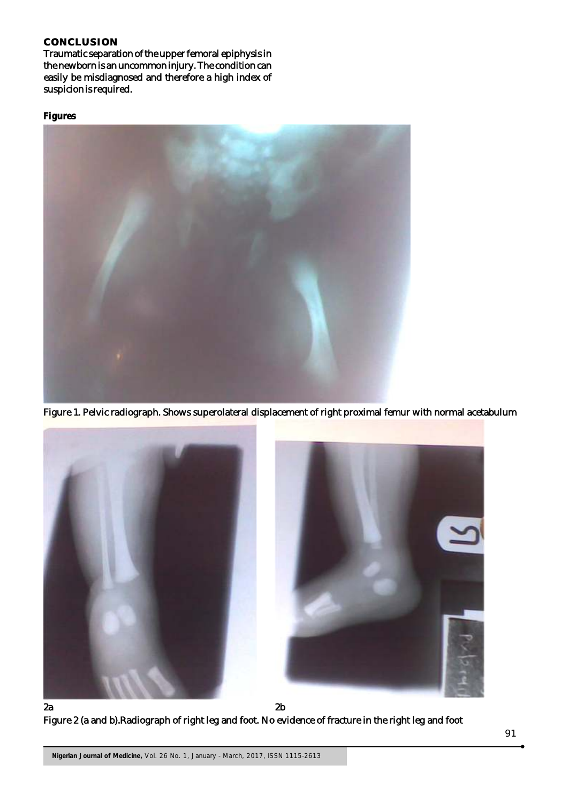## **CONCLUSION**

Traumatic separation of the upper femoral epiphysis in the newborn is an uncommon injury. The condition can easily be misdiagnosed and therefore a high index of suspicion is required.

## **Figures**



Figure 1. Pelvic radiograph. Shows superolateral displacement of right proximal femur with normal acetabulum



Figure 2 (a and b).Radiograph of right leg and foot. No evidence of fracture in the right leg and foot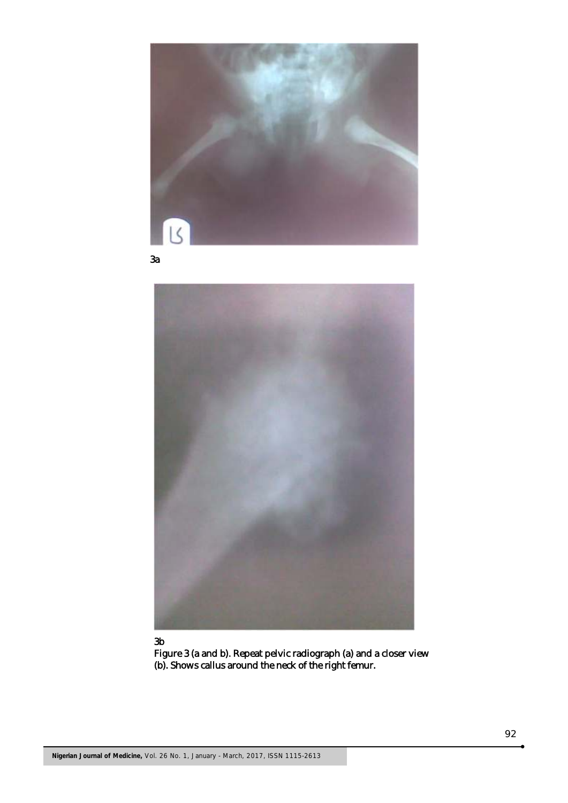

3a



#### 3b

Figure 3 (a and b). Repeat pelvic radiograph (a) and a closer view (b). Shows callus around the neck of the right femur.